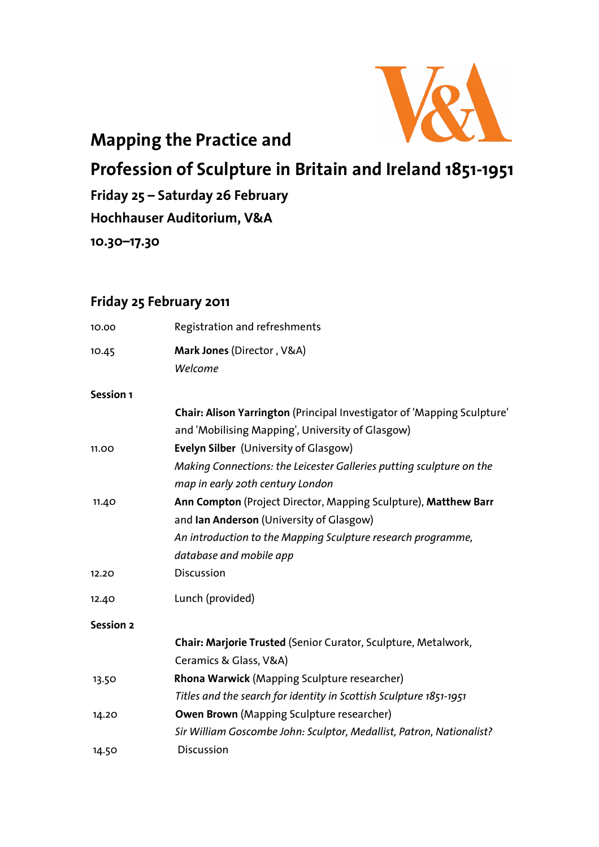

## **Mapping the Practice and**

**Profession of Sculpture in Britain and Ireland 1851-1951** 

**Friday 25 – Saturday 26 February** 

**Hochhauser Auditorium, V&A** 

**10.30–17.30** 

### **Friday 25 February 2011**

| 10.00            | Registration and refreshments                                           |
|------------------|-------------------------------------------------------------------------|
| 10.45            | Mark Jones (Director, V&A)                                              |
|                  | Welcome                                                                 |
| Session 1        |                                                                         |
|                  | Chair: Alison Yarrington (Principal Investigator of 'Mapping Sculpture' |
|                  | and 'Mobilising Mapping', University of Glasgow)                        |
| 11.00            | Evelyn Silber (University of Glasgow)                                   |
|                  | Making Connections: the Leicester Galleries putting sculpture on the    |
|                  | map in early 20th century London                                        |
| 11.40            | Ann Compton (Project Director, Mapping Sculpture), Matthew Barr         |
|                  | and Ian Anderson (University of Glasgow)                                |
|                  | An introduction to the Mapping Sculpture research programme,            |
|                  | database and mobile app                                                 |
| 12.20            | <b>Discussion</b>                                                       |
| 12.40            | Lunch (provided)                                                        |
| <b>Session 2</b> |                                                                         |
|                  | Chair: Marjorie Trusted (Senior Curator, Sculpture, Metalwork,          |
|                  | Ceramics & Glass, V&A)                                                  |
| 13.50            | Rhona Warwick (Mapping Sculpture researcher)                            |
|                  | Titles and the search for identity in Scottish Sculpture 1851-1951      |
| 14.20            | <b>Owen Brown</b> (Mapping Sculpture researcher)                        |
|                  | Sir William Goscombe John: Sculptor, Medallist, Patron, Nationalist?    |
| 14.50            | <b>Discussion</b>                                                       |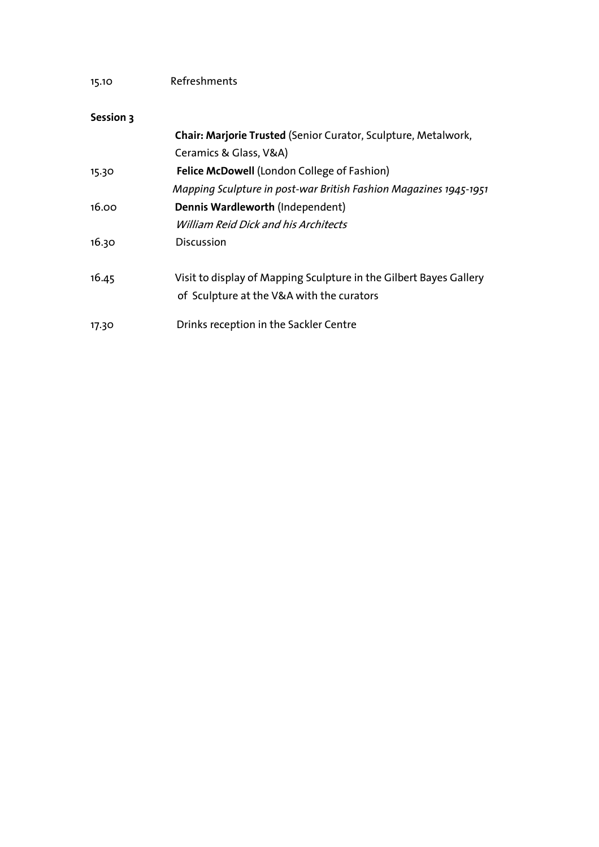| Refreshments |
|--------------|
|              |

#### **Session 3**

|       | Chair: Marjorie Trusted (Senior Curator, Sculpture, Metalwork,                                                  |
|-------|-----------------------------------------------------------------------------------------------------------------|
|       | Ceramics & Glass, V&A)                                                                                          |
| 15.30 | <b>Felice McDowell (London College of Fashion)</b>                                                              |
|       | Mapping Sculpture in post-war British Fashion Magazines 1945-1951                                               |
| 16.00 | Dennis Wardleworth (Independent)                                                                                |
|       | <b>William Reid Dick and his Architects</b>                                                                     |
| 16.30 | <b>Discussion</b>                                                                                               |
| 16.45 | Visit to display of Mapping Sculpture in the Gilbert Bayes Gallery<br>of Sculpture at the V&A with the curators |
| 17.30 | Drinks reception in the Sackler Centre                                                                          |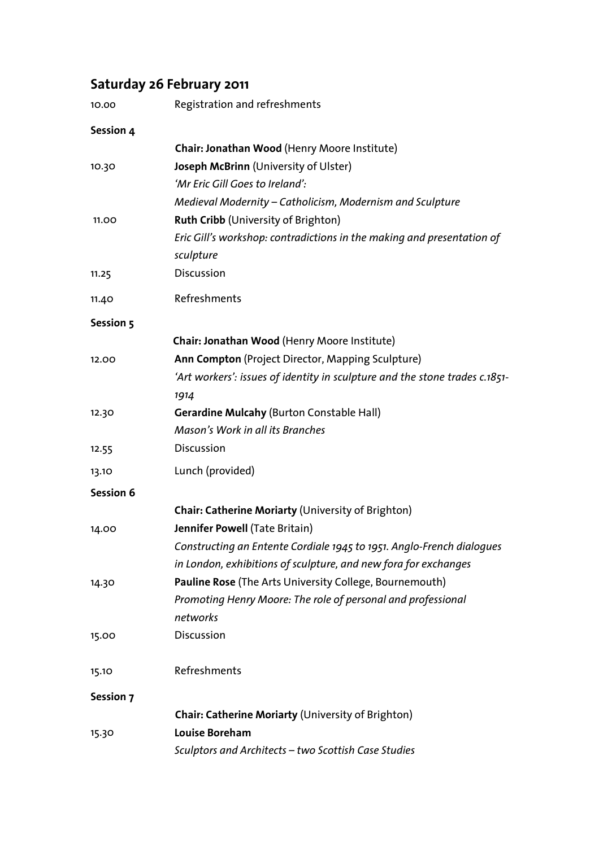## **Saturday 26 February 2011**

| 10.00            | Registration and refreshments                                               |
|------------------|-----------------------------------------------------------------------------|
| Session 4        |                                                                             |
|                  | Chair: Jonathan Wood (Henry Moore Institute)                                |
| 10.30            | Joseph McBrinn (University of Ulster)                                       |
|                  | 'Mr Eric Gill Goes to Ireland':                                             |
|                  | Medieval Modernity – Catholicism, Modernism and Sculpture                   |
| 11.00            | <b>Ruth Cribb (University of Brighton)</b>                                  |
|                  | Eric Gill's workshop: contradictions in the making and presentation of      |
|                  | sculpture                                                                   |
| 11.25            | Discussion                                                                  |
| 11.40            | Refreshments                                                                |
| Session 5        |                                                                             |
|                  | Chair: Jonathan Wood (Henry Moore Institute)                                |
| 12.00            | Ann Compton (Project Director, Mapping Sculpture)                           |
|                  | 'Art workers': issues of identity in sculpture and the stone trades c.1851- |
|                  | 1914                                                                        |
| 12.30            | <b>Gerardine Mulcahy (Burton Constable Hall)</b>                            |
|                  | Mason's Work in all its Branches                                            |
| 12.55            | Discussion                                                                  |
| 13.10            | Lunch (provided)                                                            |
| <b>Session 6</b> |                                                                             |
|                  | <b>Chair: Catherine Moriarty (University of Brighton)</b>                   |
| 14.00            | Jennifer Powell (Tate Britain)                                              |
|                  | Constructing an Entente Cordiale 1945 to 1951. Anglo-French dialoques       |
|                  | in London, exhibitions of sculpture, and new fora for exchanges             |
| 14.30            | Pauline Rose (The Arts University College, Bournemouth)                     |
|                  | Promoting Henry Moore: The role of personal and professional                |
|                  | networks                                                                    |
| 15.00            | Discussion                                                                  |
| 15.10            | Refreshments                                                                |
| Session 7        |                                                                             |
|                  | <b>Chair: Catherine Moriarty (University of Brighton)</b>                   |
| 15.30            | <b>Louise Boreham</b>                                                       |
|                  | Sculptors and Architects - two Scottish Case Studies                        |